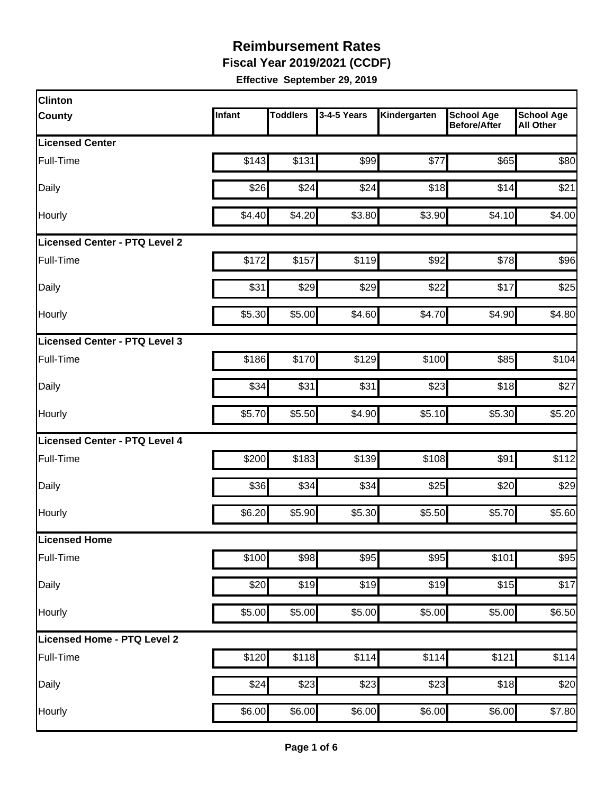**Fiscal Year 2019/2021 (CCDF)**

| <b>Clinton</b>                |        |                 |             |              |                                          |                                       |
|-------------------------------|--------|-----------------|-------------|--------------|------------------------------------------|---------------------------------------|
| County                        | Infant | <b>Toddlers</b> | 3-4-5 Years | Kindergarten | <b>School Age</b><br><b>Before/After</b> | <b>School Age</b><br><b>All Other</b> |
| <b>Licensed Center</b>        |        |                 |             |              |                                          |                                       |
| Full-Time                     | \$143  | \$131           | \$99        | \$77         | \$65                                     | \$80                                  |
| Daily                         | \$26   | \$24            | \$24        | \$18         | \$14                                     | \$21                                  |
| Hourly                        | \$4.40 | \$4.20          | \$3.80      | \$3.90       | \$4.10                                   | \$4.00                                |
| Licensed Center - PTQ Level 2 |        |                 |             |              |                                          |                                       |
| Full-Time                     | \$172  | \$157           | \$119       | \$92         | \$78                                     | \$96                                  |
| Daily                         | \$31   | \$29            | \$29        | \$22         | \$17                                     | \$25                                  |
| Hourly                        | \$5.30 | \$5.00          | \$4.60      | \$4.70       | \$4.90                                   | \$4.80                                |
| Licensed Center - PTQ Level 3 |        |                 |             |              |                                          |                                       |
| Full-Time                     | \$186  | \$170           | \$129       | \$100        | \$85                                     | \$104                                 |
| Daily                         | \$34   | \$31            | \$31        | \$23         | \$18                                     | \$27                                  |
| Hourly                        | \$5.70 | \$5.50          | \$4.90      | \$5.10       | \$5.30                                   | \$5.20                                |
| Licensed Center - PTQ Level 4 |        |                 |             |              |                                          |                                       |
| Full-Time                     | \$200  | \$183           | \$139       | \$108        | \$91                                     | \$112                                 |
| Daily                         | \$36   | \$34            | \$34        | \$25         | \$20                                     | \$29                                  |
| Hourly                        | \$6.20 | \$5.90          | \$5.30      | \$5.50       | \$5.70                                   | \$5.60                                |
| <b>Licensed Home</b>          |        |                 |             |              |                                          |                                       |
| Full-Time                     | \$100  | \$98            | \$95        | \$95         | \$101                                    | \$95                                  |
| Daily                         | \$20   | \$19            | \$19        | \$19         | \$15                                     | \$17                                  |
| Hourly                        | \$5.00 | \$5.00          | \$5.00      | \$5.00       | \$5.00                                   | \$6.50                                |
| Licensed Home - PTQ Level 2   |        |                 |             |              |                                          |                                       |
| Full-Time                     | \$120  | \$118           | \$114       | \$114        | \$121                                    | \$114                                 |
| Daily                         | \$24   | \$23            | \$23        | \$23         | \$18                                     | \$20                                  |
| Hourly                        | \$6.00 | \$6.00          | \$6.00      | \$6.00       | \$6.00                                   | \$7.80                                |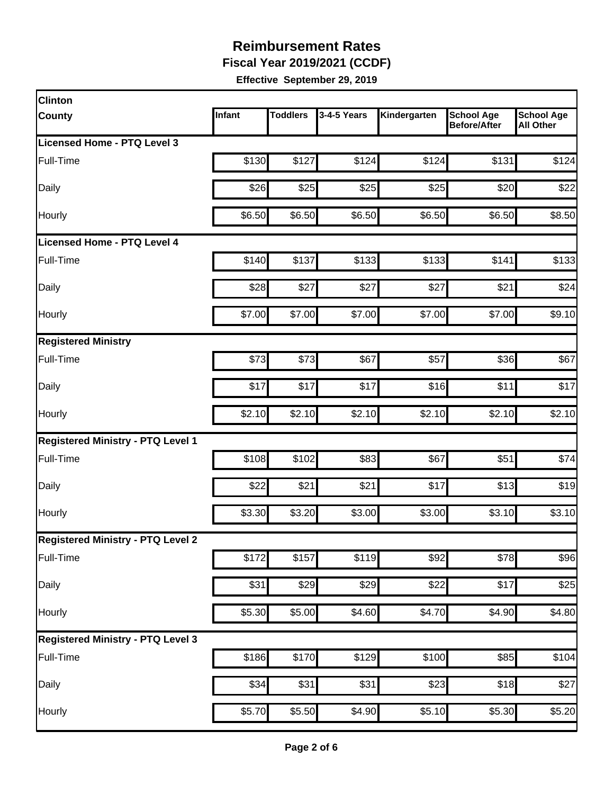**Fiscal Year 2019/2021 (CCDF)**

| <b>Clinton</b>                           |        |                 |             |                    |                                          |                                       |
|------------------------------------------|--------|-----------------|-------------|--------------------|------------------------------------------|---------------------------------------|
| <b>County</b>                            | Infant | <b>Toddlers</b> | 3-4-5 Years | Kindergarten       | <b>School Age</b><br><b>Before/After</b> | <b>School Age</b><br><b>All Other</b> |
| Licensed Home - PTQ Level 3              |        |                 |             |                    |                                          |                                       |
| Full-Time                                | \$130  | \$127           | \$124       | \$124              | \$131                                    | \$124                                 |
| Daily                                    | \$26   | \$25            | \$25        | \$25               | \$20                                     | \$22                                  |
| Hourly                                   | \$6.50 | \$6.50          | \$6.50      | \$6.50             | \$6.50                                   | \$8.50                                |
| <b>Licensed Home - PTQ Level 4</b>       |        |                 |             |                    |                                          |                                       |
| Full-Time                                | \$140  | \$137           | \$133       | \$133              | \$141                                    | \$133                                 |
| Daily                                    | \$28   | \$27            | \$27        | \$27               | \$21                                     | \$24                                  |
| Hourly                                   | \$7.00 | \$7.00          | \$7.00      | \$7.00             | \$7.00                                   | \$9.10                                |
| <b>Registered Ministry</b>               |        |                 |             |                    |                                          |                                       |
| Full-Time                                | \$73   | \$73            | \$67        | \$57               | \$36                                     | \$67                                  |
| Daily                                    | \$17   | \$17            | \$17        | \$16               | \$11                                     | \$17                                  |
| Hourly                                   | \$2.10 | \$2.10          | \$2.10      | \$2.10             | \$2.10                                   | \$2.10                                |
| <b>Registered Ministry - PTQ Level 1</b> |        |                 |             |                    |                                          |                                       |
| Full-Time                                | \$108  | \$102           | \$83        | \$67               | \$51                                     | \$74                                  |
| Daily                                    | \$22   | \$21            | \$21        | \$17               | \$13                                     | \$19                                  |
| Hourly                                   | \$3.30 | \$3.20          | \$3.00      | \$3.00             | \$3.10                                   | \$3.10                                |
| <b>Registered Ministry - PTQ Level 2</b> |        |                 |             |                    |                                          |                                       |
| Full-Time                                | \$172  | \$157           | \$119       | \$92               | \$78                                     | \$96                                  |
| <b>Daily</b>                             | \$31   | \$29            | \$29        | \$22               | \$17                                     | \$25                                  |
| Hourly                                   | \$5.30 | \$5.00          | \$4.60      | \$4.70             | \$4.90                                   | \$4.80                                |
| <b>Registered Ministry - PTQ Level 3</b> |        |                 |             |                    |                                          |                                       |
| Full-Time                                | \$186  | $\sqrt{$170}$   | \$129       | \$100              | \$85                                     | \$104                                 |
| Daily                                    | \$34   | \$31            | \$31        | \$23               | \$18                                     | \$27                                  |
| Hourly                                   | \$5.70 | \$5.50          | \$4.90      | $\overline{$5.10}$ | \$5.30                                   | \$5.20                                |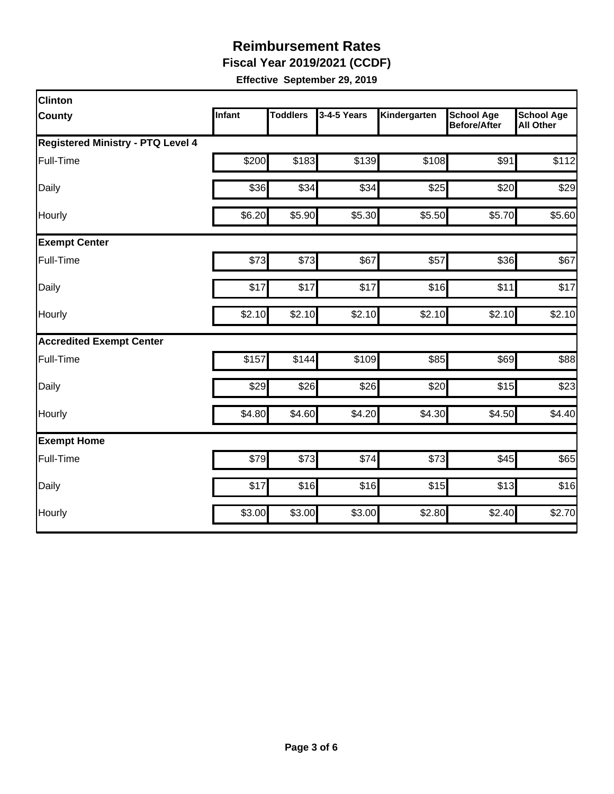**Fiscal Year 2019/2021 (CCDF)**

| <b>Clinton</b>                           |               |                 |             |              |                                          |                                       |
|------------------------------------------|---------------|-----------------|-------------|--------------|------------------------------------------|---------------------------------------|
| <b>County</b>                            | <b>Infant</b> | <b>Toddlers</b> | 3-4-5 Years | Kindergarten | <b>School Age</b><br><b>Before/After</b> | <b>School Age</b><br><b>All Other</b> |
| <b>Registered Ministry - PTQ Level 4</b> |               |                 |             |              |                                          |                                       |
| Full-Time                                | \$200         | \$183           | \$139       | \$108        | \$91                                     | \$112                                 |
| Daily                                    | \$36          | \$34            | \$34        | \$25         | \$20                                     | \$29                                  |
| Hourly                                   | \$6.20        | \$5.90          | \$5.30      | \$5.50       | \$5.70                                   | \$5.60                                |
| <b>Exempt Center</b>                     |               |                 |             |              |                                          |                                       |
| Full-Time                                | \$73          | \$73            | \$67        | \$57         | \$36                                     | \$67                                  |
| Daily                                    | \$17          | \$17            | \$17        | \$16         | \$11                                     | \$17                                  |
| Hourly                                   | \$2.10        | \$2.10          | \$2.10      | \$2.10       | \$2.10                                   | \$2.10                                |
| <b>Accredited Exempt Center</b>          |               |                 |             |              |                                          |                                       |
| Full-Time                                | \$157         | \$144           | \$109       | \$85         | \$69                                     | \$88                                  |
| Daily                                    | \$29          | \$26            | \$26        | \$20         | \$15                                     | \$23                                  |
| Hourly                                   | \$4.80        | \$4.60          | \$4.20      | \$4.30       | \$4.50                                   | \$4.40                                |
| <b>Exempt Home</b>                       |               |                 |             |              |                                          |                                       |
| Full-Time                                | \$79          | \$73            | \$74        | \$73         | \$45                                     | \$65                                  |
| Daily                                    | \$17          | \$16            | \$16        | \$15         | \$13                                     | \$16                                  |
| Hourly                                   | \$3.00        | \$3.00          | \$3.00      | \$2.80       | \$2.40                                   | \$2.70                                |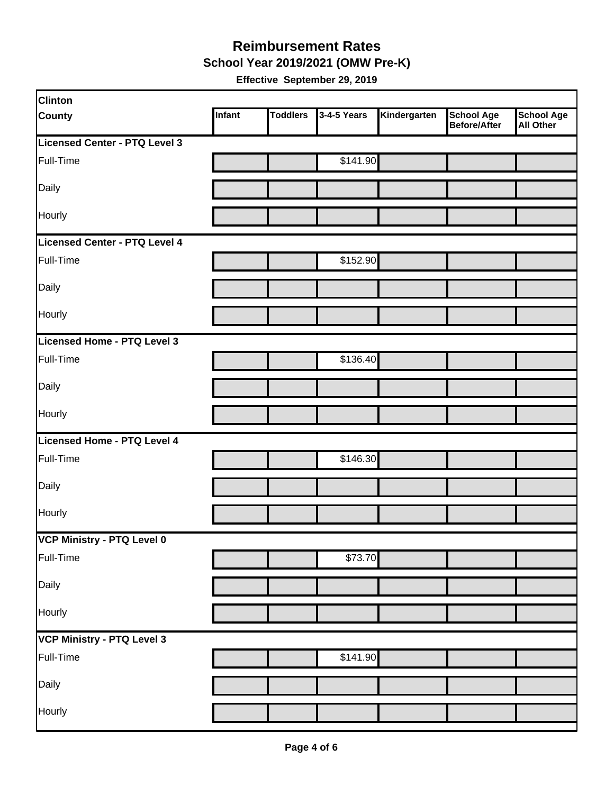**School Year 2019/2021 (OMW Pre-K)**

| <b>Clinton</b>                |        |                 |             |              |                                   |                         |
|-------------------------------|--------|-----------------|-------------|--------------|-----------------------------------|-------------------------|
| <b>County</b>                 | Infant | <b>Toddlers</b> | 3-4-5 Years | Kindergarten | <b>School Age</b><br>Before/After | School Age<br>All Other |
| Licensed Center - PTQ Level 3 |        |                 |             |              |                                   |                         |
| Full-Time                     |        |                 | \$141.90    |              |                                   |                         |
| Daily                         |        |                 |             |              |                                   |                         |
| Hourly                        |        |                 |             |              |                                   |                         |
| Licensed Center - PTQ Level 4 |        |                 |             |              |                                   |                         |
| Full-Time                     |        |                 | \$152.90    |              |                                   |                         |
| Daily                         |        |                 |             |              |                                   |                         |
| Hourly                        |        |                 |             |              |                                   |                         |
| Licensed Home - PTQ Level 3   |        |                 |             |              |                                   |                         |
| Full-Time                     |        |                 | \$136.40    |              |                                   |                         |
| Daily                         |        |                 |             |              |                                   |                         |
| Hourly                        |        |                 |             |              |                                   |                         |
| Licensed Home - PTQ Level 4   |        |                 |             |              |                                   |                         |
| Full-Time                     |        |                 | \$146.30    |              |                                   |                         |
| Daily                         |        |                 |             |              |                                   |                         |
| Hourly                        |        |                 |             |              |                                   |                         |
| VCP Ministry - PTQ Level 0    |        |                 |             |              |                                   |                         |
| Full-Time                     |        |                 | \$73.70     |              |                                   |                         |
| Daily                         |        |                 |             |              |                                   |                         |
| Hourly                        |        |                 |             |              |                                   |                         |
| VCP Ministry - PTQ Level 3    |        |                 |             |              |                                   |                         |
| Full-Time                     |        |                 | \$141.90    |              |                                   |                         |
| Daily                         |        |                 |             |              |                                   |                         |
| Hourly                        |        |                 |             |              |                                   |                         |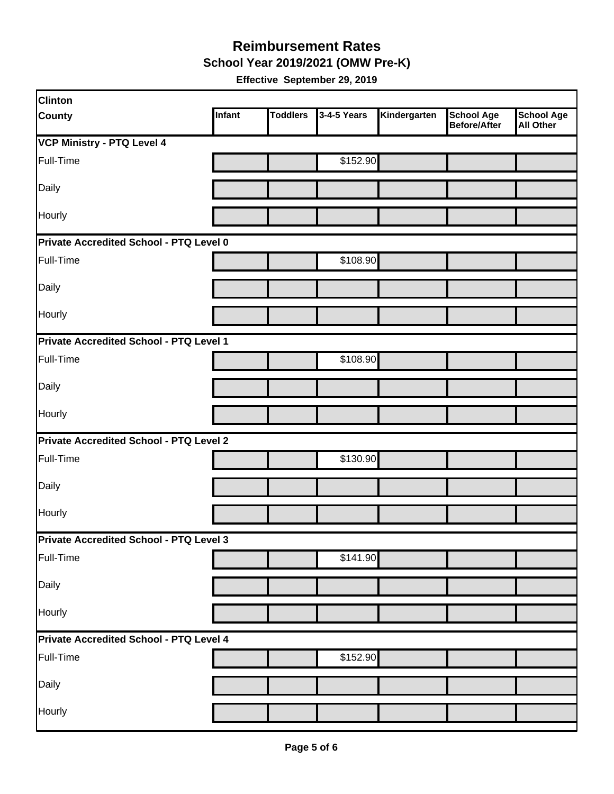**School Year 2019/2021 (OMW Pre-K)**

| <b>Clinton</b>                                 |        |                 |             |              |                                   |                                       |  |  |
|------------------------------------------------|--------|-----------------|-------------|--------------|-----------------------------------|---------------------------------------|--|--|
| <b>County</b>                                  | Infant | <b>Toddlers</b> | 3-4-5 Years | Kindergarten | <b>School Age</b><br>Before/After | <b>School Age</b><br><b>All Other</b> |  |  |
| <b>VCP Ministry - PTQ Level 4</b>              |        |                 |             |              |                                   |                                       |  |  |
| Full-Time                                      |        |                 | \$152.90    |              |                                   |                                       |  |  |
| Daily                                          |        |                 |             |              |                                   |                                       |  |  |
| Hourly                                         |        |                 |             |              |                                   |                                       |  |  |
| Private Accredited School - PTQ Level 0        |        |                 |             |              |                                   |                                       |  |  |
| Full-Time                                      |        |                 | \$108.90    |              |                                   |                                       |  |  |
| Daily                                          |        |                 |             |              |                                   |                                       |  |  |
| Hourly                                         |        |                 |             |              |                                   |                                       |  |  |
| Private Accredited School - PTQ Level 1        |        |                 |             |              |                                   |                                       |  |  |
| Full-Time                                      |        |                 | \$108.90    |              |                                   |                                       |  |  |
| Daily                                          |        |                 |             |              |                                   |                                       |  |  |
| Hourly                                         |        |                 |             |              |                                   |                                       |  |  |
| <b>Private Accredited School - PTQ Level 2</b> |        |                 |             |              |                                   |                                       |  |  |
| Full-Time                                      |        |                 | \$130.90    |              |                                   |                                       |  |  |
| Daily                                          |        |                 |             |              |                                   |                                       |  |  |
| Hourly                                         |        |                 |             |              |                                   |                                       |  |  |
| Private Accredited School - PTQ Level 3        |        |                 |             |              |                                   |                                       |  |  |
| Full-Time                                      |        |                 | \$141.90    |              |                                   |                                       |  |  |
| Daily                                          |        |                 |             |              |                                   |                                       |  |  |
| Hourly                                         |        |                 |             |              |                                   |                                       |  |  |
| Private Accredited School - PTQ Level 4        |        |                 |             |              |                                   |                                       |  |  |
| Full-Time                                      |        |                 | \$152.90    |              |                                   |                                       |  |  |
| Daily                                          |        |                 |             |              |                                   |                                       |  |  |
| Hourly                                         |        |                 |             |              |                                   |                                       |  |  |